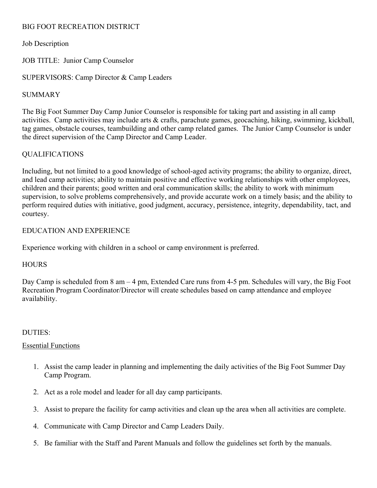## BIG FOOT RECREATION DISTRICT

Job Description

JOB TITLE: Junior Camp Counselor

SUPERVISORS: Camp Director & Camp Leaders

### SUMMARY

The Big Foot Summer Day Camp Junior Counselor is responsible for taking part and assisting in all camp activities. Camp activities may include arts & crafts, parachute games, geocaching, hiking, swimming, kickball, tag games, obstacle courses, teambuilding and other camp related games. The Junior Camp Counselor is under the direct supervision of the Camp Director and Camp Leader.

# QUALIFICATIONS

Including, but not limited to a good knowledge of school-aged activity programs; the ability to organize, direct, and lead camp activities; ability to maintain positive and effective working relationships with other employees, children and their parents; good written and oral communication skills; the ability to work with minimum supervision, to solve problems comprehensively, and provide accurate work on a timely basis; and the ability to perform required duties with initiative, good judgment, accuracy, persistence, integrity, dependability, tact, and courtesy.

## EDUCATION AND EXPERIENCE

Experience working with children in a school or camp environment is preferred.

#### **HOURS**

Day Camp is scheduled from 8 am – 4 pm, Extended Care runs from 4-5 pm. Schedules will vary, the Big Foot Recreation Program Coordinator/Director will create schedules based on camp attendance and employee availability.

#### DUTIES:

#### Essential Functions

- 1. Assist the camp leader in planning and implementing the daily activities of the Big Foot Summer Day Camp Program.
- 2. Act as a role model and leader for all day camp participants.
- 3. Assist to prepare the facility for camp activities and clean up the area when all activities are complete.
- 4. Communicate with Camp Director and Camp Leaders Daily.
- 5. Be familiar with the Staff and Parent Manuals and follow the guidelines set forth by the manuals.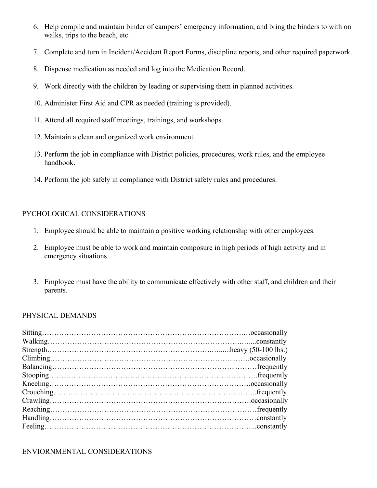- 6. Help compile and maintain binder of campers' emergency information, and bring the binders to with on walks, trips to the beach, etc.
- 7. Complete and turn in Incident/Accident Report Forms, discipline reports, and other required paperwork.
- 8. Dispense medication as needed and log into the Medication Record.
- 9. Work directly with the children by leading or supervising them in planned activities.
- 10. Administer First Aid and CPR as needed (training is provided).
- 11. Attend all required staff meetings, trainings, and workshops.
- 12. Maintain a clean and organized work environment.
- 13. Perform the job in compliance with District policies, procedures, work rules, and the employee handbook.
- 14. Perform the job safely in compliance with District safety rules and procedures.

## PYCHOLOGICAL CONSIDERATIONS

- 1. Employee should be able to maintain a positive working relationship with other employees.
- 2. Employee must be able to work and maintain composure in high periods of high activity and in emergency situations.
- 3. Employee must have the ability to communicate effectively with other staff, and children and their parents.

#### PHYSICAL DEMANDS